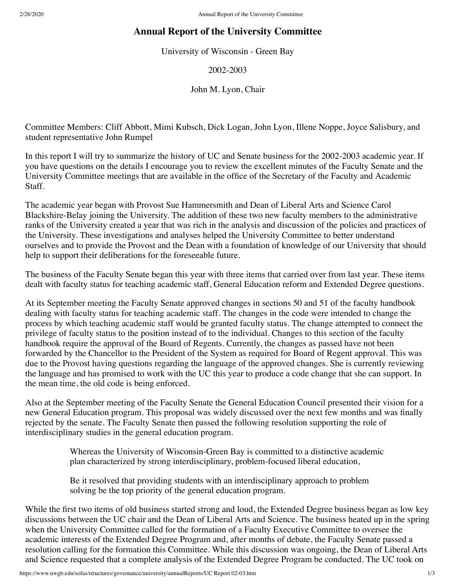## **Annual Report of the University Committee**

University of Wisconsin - Green Bay

2002-2003

John M. Lyon, Chair

Committee Members: Cliff Abbott, Mimi Kubsch, Dick Logan, John Lyon, Illene Noppe, Joyce Salisbury, and student representative John Rumpel

In this report I will try to summarize the history of UC and Senate business for the 2002-2003 academic year. If you have questions on the details I encourage you to review the excellent minutes of the Faculty Senate and the University Committee meetings that are available in the office of the Secretary of the Faculty and Academic Staff.

The academic year began with Provost Sue Hammersmith and Dean of Liberal Arts and Science Carol Blackshire-Belay joining the University. The addition of these two new faculty members to the administrative ranks of the University created a year that was rich in the analysis and discussion of the policies and practices of the University. These investigations and analyses helped the University Committee to better understand ourselves and to provide the Provost and the Dean with a foundation of knowledge of our University that should help to support their deliberations for the foreseeable future.

The business of the Faculty Senate began this year with three items that carried over from last year. These items dealt with faculty status for teaching academic staff, General Education reform and Extended Degree questions.

At its September meeting the Faculty Senate approved changes in sections 50 and 51 of the faculty handbook dealing with faculty status for teaching academic staff. The changes in the code were intended to change the process by which teaching academic staff would be granted faculty status. The change attempted to connect the privilege of faculty status to the position instead of to the individual. Changes to this section of the faculty handbook require the approval of the Board of Regents. Currently, the changes as passed have not been forwarded by the Chancellor to the President of the System as required for Board of Regent approval. This was due to the Provost having questions regarding the language of the approved changes. She is currently reviewing the language and has promised to work with the UC this year to produce a code change that she can support. In the mean time, the old code is being enforced.

Also at the September meeting of the Faculty Senate the General Education Council presented their vision for a new General Education program. This proposal was widely discussed over the next few months and was finally rejected by the senate. The Faculty Senate then passed the following resolution supporting the role of interdisciplinary studies in the general education program.

> Whereas the University of Wisconsin-Green Bay is committed to a distinctive academic plan characterized by strong interdisciplinary, problem-focused liberal education,

Be it resolved that providing students with an interdisciplinary approach to problem solving be the top priority of the general education program.

While the first two items of old business started strong and loud, the Extended Degree business began as low key discussions between the UC chair and the Dean of Liberal Arts and Science. The business heated up in the spring when the University Committee called for the formation of a Faculty Executive Committee to oversee the academic interests of the Extended Degree Program and, after months of debate, the Faculty Senate passed a resolution calling for the formation this Committee. While this discussion was ongoing, the Dean of Liberal Arts and Science requested that a complete analysis of the Extended Degree Program be conducted. The UC took on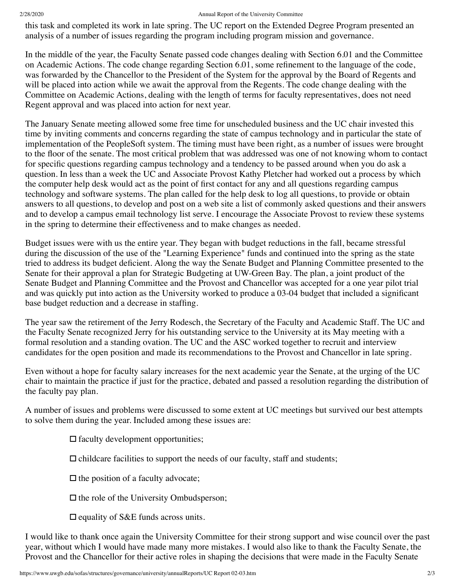## 2/28/2020 Annual Report of the University Committee

this task and completed its work in late spring. The UC report on the Extended Degree Program presented an analysis of a number of issues regarding the program including program mission and governance.

In the middle of the year, the Faculty Senate passed code changes dealing with Section 6.01 and the Committee on Academic Actions. The code change regarding Section 6.01, some refinement to the language of the code, was forwarded by the Chancellor to the President of the System for the approval by the Board of Regents and will be placed into action while we await the approval from the Regents. The code change dealing with the Committee on Academic Actions, dealing with the length of terms for faculty representatives, does not need Regent approval and was placed into action for next year.

The January Senate meeting allowed some free time for unscheduled business and the UC chair invested this time by inviting comments and concerns regarding the state of campus technology and in particular the state of implementation of the PeopleSoft system. The timing must have been right, as a number of issues were brought to the floor of the senate. The most critical problem that was addressed was one of not knowing whom to contact for specific questions regarding campus technology and a tendency to be passed around when you do ask a question. In less than a week the UC and Associate Provost Kathy Pletcher had worked out a process by which the computer help desk would act as the point of first contact for any and all questions regarding campus technology and software systems. The plan called for the help desk to log all questions, to provide or obtain answers to all questions, to develop and post on a web site a list of commonly asked questions and their answers and to develop a campus email technology list serve. I encourage the Associate Provost to review these systems in the spring to determine their effectiveness and to make changes as needed.

Budget issues were with us the entire year. They began with budget reductions in the fall, became stressful during the discussion of the use of the "Learning Experience" funds and continued into the spring as the state tried to address its budget deficient. Along the way the Senate Budget and Planning Committee presented to the Senate for their approval a plan for Strategic Budgeting at UW-Green Bay. The plan, a joint product of the Senate Budget and Planning Committee and the Provost and Chancellor was accepted for a one year pilot trial and was quickly put into action as the University worked to produce a 03-04 budget that included a significant base budget reduction and a decrease in staffing.

The year saw the retirement of the Jerry Rodesch, the Secretary of the Faculty and Academic Staff. The UC and the Faculty Senate recognized Jerry for his outstanding service to the University at its May meeting with a formal resolution and a standing ovation. The UC and the ASC worked together to recruit and interview candidates for the open position and made its recommendations to the Provost and Chancellor in late spring.

Even without a hope for faculty salary increases for the next academic year the Senate, at the urging of the UC chair to maintain the practice if just for the practice, debated and passed a resolution regarding the distribution of the faculty pay plan.

A number of issues and problems were discussed to some extent at UC meetings but survived our best attempts to solve them during the year. Included among these issues are:

 $\Box$  faculty development opportunities;

 $\Box$  childcare facilities to support the needs of our faculty, staff and students;

 $\Box$  the position of a faculty advocate;

 $\Box$  the role of the University Ombudsperson;

 $\Box$  equality of S&E funds across units.

I would like to thank once again the University Committee for their strong support and wise council over the past year, without which I would have made many more mistakes. I would also like to thank the Faculty Senate, the Provost and the Chancellor for their active roles in shaping the decisions that were made in the Faculty Senate